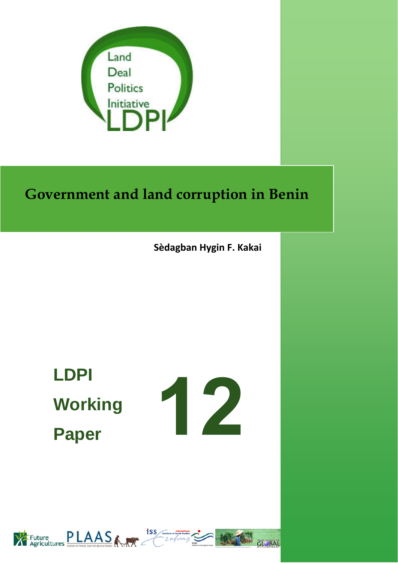

# **Government and land corruption in Benin**

**Sèdagban Hygin F. Kakai**

**LDPI Working Paper** 





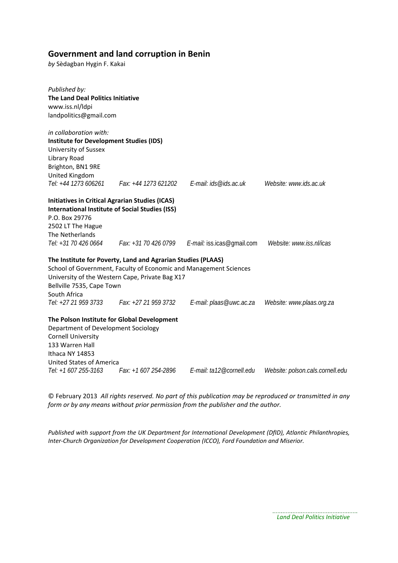### **Government and land corruption in Benin**

*by* Sèdagban Hygin F. Kakai

| Published by:<br>The Land Deal Politics Initiative<br>www.iss.nl/ldpi<br>landpolitics@gmail.com                                                                            |                                                                                                                                                                                      |                                                                      |                                  |
|----------------------------------------------------------------------------------------------------------------------------------------------------------------------------|--------------------------------------------------------------------------------------------------------------------------------------------------------------------------------------|----------------------------------------------------------------------|----------------------------------|
| in collaboration with:<br><b>Institute for Development Studies (IDS)</b><br>University of Sussex<br>Library Road<br>Brighton, BN1 9RE                                      |                                                                                                                                                                                      |                                                                      |                                  |
| United Kingdom<br>Tel: +44 1273 606261                                                                                                                                     | Fax: +44 1273 621202                                                                                                                                                                 | F-mail: ids@ids.ac.uk                                                | Website: www.ids.ac.uk           |
| <b>Initiatives in Critical Agrarian Studies (ICAS)</b><br><b>International Institute of Social Studies (ISS)</b><br>P.O. Box 29776<br>2502 LT The Hague<br>The Netherlands |                                                                                                                                                                                      |                                                                      |                                  |
|                                                                                                                                                                            |                                                                                                                                                                                      | Tel: +31 70 426 0664 Fax: +31 70 426 0799 E-mail: iss.icas@gmail.com | Website: www.iss.nl/icas         |
| Bellville 7535, Cape Town<br>South Africa                                                                                                                                  | The Institute for Poverty, Land and Agrarian Studies (PLAAS)<br>School of Government, Faculty of Economic and Management Sciences<br>University of the Western Cape, Private Bag X17 |                                                                      |                                  |
|                                                                                                                                                                            | Tel: +27 21 959 3733 Fax: +27 21 959 3732                                                                                                                                            | E-mail: plaas@uwc.ac.za                                              | Website: www.plaas.org.za        |
| Department of Development Sociology<br><b>Cornell University</b><br>133 Warren Hall<br>Ithaca NY 14853                                                                     | The Polson Institute for Global Development                                                                                                                                          |                                                                      |                                  |
| <b>United States of America</b><br>Tel: +1 607 255-3163                                                                                                                    | Fax: +1 607 254-2896                                                                                                                                                                 | E-mail: ta12@cornell.edu                                             | Website: polson.cals.cornell.edu |

© February 2013 *All rights reserved. No part of this publication may be reproduced or transmitted in any form or by any means without prior permission from the publisher and the author.*

*Published with support from the UK Department for International Development (DfID), Atlantic Philanthropies, Inter‐Church Organization for Development Cooperation (ICCO), Ford Foundation and Miserior.*

> *Land Deal Politics Initiative* . . . . . . . . . .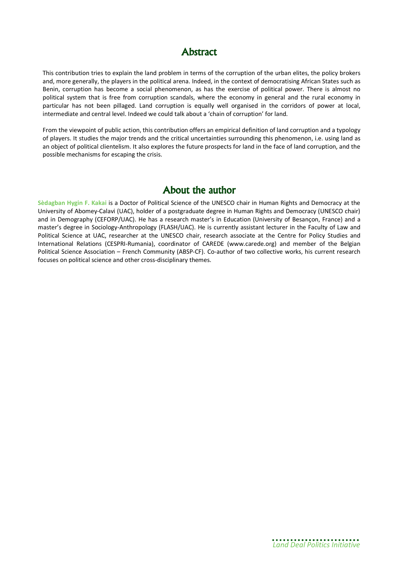# **Abstract**

This contribution tries to explain the land problem in terms of the corruption of the urban elites, the policy brokers and, more generally, the players in the political arena. Indeed, in the context of democratising African States such as Benin, corruption has become a social phenomenon, as has the exercise of political power. There is almost no political system that is free from corruption scandals, where the economy in general and the rural economy in particular has not been pillaged. Land corruption is equally well organised in the corridors of power at local, intermediate and central level. Indeed we could talk about a 'chain of corruption' for land.

From the viewpoint of public action, this contribution offers an empirical definition of land corruption and a typology of players. It studies the major trends and the critical uncertainties surrounding this phenomenon, i.e. using land as an object of political clientelism. It also explores the future prospects for land in the face of land corruption, and the possible mechanisms for escaping the crisis.

# **About the author**

**Sèdagban Hygin F. Kakai** is a Doctor of Political Science of the UNESCO chair in Human Rights and Democracy at the University of Abomey-Calavi (UAC), holder of a postgraduate degree in Human Rights and Democracy (UNESCO chair) and in Demography (CEFORP/UAC). He has a research master's in Education (University of Besançon, France) and a master's degree in Sociology-Anthropology (FLASH/UAC). He is currently assistant lecturer in the Faculty of Law and Political Science at UAC, researcher at the UNESCO chair, research associate at the Centre for Policy Studies and International Relations (CESPRI-Rumania), coordinator of CAREDE (www.carede.org) and member of the Belgian Political Science Association – French Community (ABSP-CF). Co-author of two collective works, his current research focuses on political science and other cross-disciplinary themes.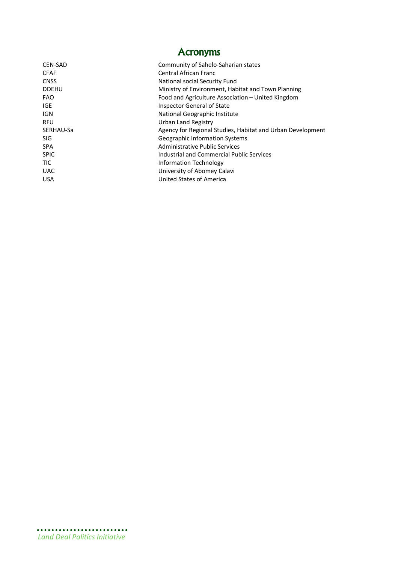| Community of Sahelo-Saharian states                        |  |
|------------------------------------------------------------|--|
| Central African Franc                                      |  |
| National social Security Fund                              |  |
| Ministry of Environment, Habitat and Town Planning         |  |
| Food and Agriculture Association – United Kingdom          |  |
| Inspector General of State                                 |  |
| National Geographic Institute                              |  |
| Urban Land Registry                                        |  |
| Agency for Regional Studies, Habitat and Urban Development |  |
| Geographic Information Systems                             |  |
| Administrative Public Services                             |  |
| Industrial and Commercial Public Services                  |  |
| Information Technology                                     |  |
| University of Abomey Calavi                                |  |
| United States of America                                   |  |
|                                                            |  |

**Acronyms**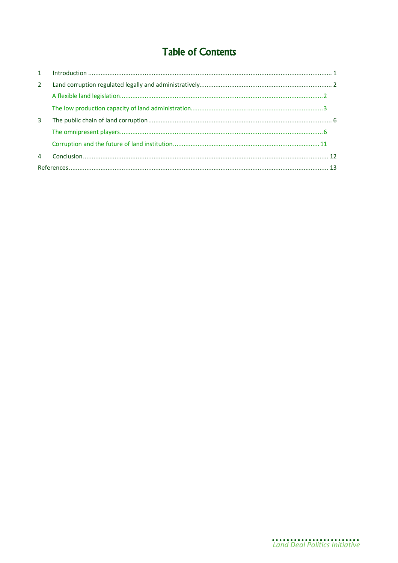# **Table of Contents**

| $\overline{2}$ |  |
|----------------|--|
|                |  |
|                |  |
| 3              |  |
|                |  |
|                |  |
|                |  |
|                |  |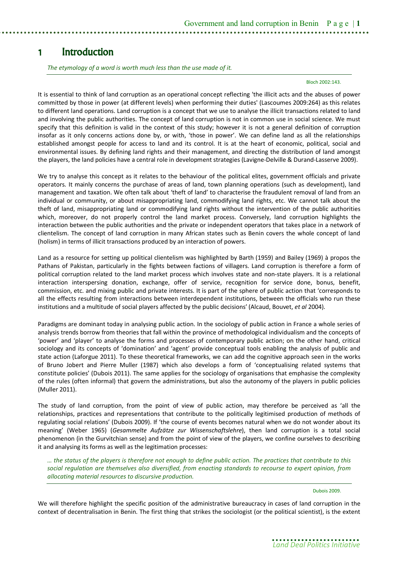# **1 Introduction**

*The etymology of a word is worth much less than the use made of it.* 

#### Bloch 2002:143.

It is essential to think of land corruption as an operational concept reflecting 'the illicit acts and the abuses of power committed by those in power (at different levels) when performing their duties' (Lascoumes 2009:264) as this relates to different land operations. Land corruption is a concept that we use to analyse the illicit transactions related to land and involving the public authorities. The concept of land corruption is not in common use in social science. We must specify that this definition is valid in the context of this study; however it is not a general definition of corruption insofar as it only concerns actions done by, or with, 'those in power'. We can define land as all the relationships established amongst people for access to land and its control. It is at the heart of economic, political, social and environmental issues. By defining land rights and their management, and directing the distribution of land amongst the players, the land policies have a central role in development strategies (Lavigne-Delville & Durand-Lasserve 2009).

We try to analyse this concept as it relates to the behaviour of the political elites, government officials and private operators. It mainly concerns the purchase of areas of land, town planning operations (such as development), land management and taxation. We often talk about 'theft of land' to characterise the fraudulent removal of land from an individual or community, or about misappropriating land, commodifying land rights, etc. We cannot talk about the theft of land, misappropriating land or commodifying land rights without the intervention of the public authorities which, moreover, do not properly control the land market process. Conversely, land corruption highlights the interaction between the public authorities and the private or independent operators that takes place in a network of clientelism. The concept of land corruption in many African states such as Benin covers the whole concept of land (holism) in terms of illicit transactions produced by an interaction of powers.

Land as a resource for setting up political clientelism was highlighted by Barth (1959) and Bailey (1969) à propos the Pathans of Pakistan, particularly in the fights between factions of villagers. Land corruption is therefore a form of political corruption related to the land market process which involves state and non-state players. It is a relational interaction interspersing donation, exchange, offer of service, recognition for service done, bonus, benefit, commission, etc. and mixing public and private interests. It is part of the sphere of public action that 'corresponds to all the effects resulting from interactions between interdependent institutions, between the officials who run these institutions and a multitude of social players affected by the public decisions' (Alcaud, Bouvet, *et al* 2004).

Paradigms are dominant today in analysing public action. In the sociology of public action in France a whole series of analysis trends borrow from theories that fall within the province of methodological individualism and the concepts of 'power' and 'player' to analyse the forms and processes of contemporary public action; on the other hand, critical sociology and its concepts of 'domination' and 'agent' provide conceptual tools enabling the analysis of public and state action (Laforgue 2011). To these theoretical frameworks, we can add the cognitive approach seen in the works of Bruno Jobert and Pierre Muller (1987) which also develops a form of 'conceptualising related systems that constitute policies' (Dubois 2011). The same applies for the sociology of organisations that emphasise the complexity of the rules (often informal) that govern the administrations, but also the autonomy of the players in public policies (Muller 2011).

The study of land corruption, from the point of view of public action, may therefore be perceived as 'all the relationships, practices and representations that contribute to the politically legitimised production of methods of regulating social relations' (Dubois 2009). If 'the course of events becomes natural when we do not wonder about its meaning' (Weber 1965) (*Gesammelte Aufzätze zur Wissenschaftslehre*), then land corruption is a total social phenomenon (in the Gurvitchian sense) and from the point of view of the players, we confine ourselves to describing it and analysing its forms as well as the legitimation processes:

*… the status of the players is therefore not enough to define public action. The practices that contribute to this social regulation are themselves also diversified, from enacting standards to recourse to expert opinion, from allocating material resources to discursive production.*

Dubois 2009.

We will therefore highlight the specific position of the administrative bureaucracy in cases of land corruption in the context of decentralisation in Benin. The first thing that strikes the sociologist (or the political scientist), is the extent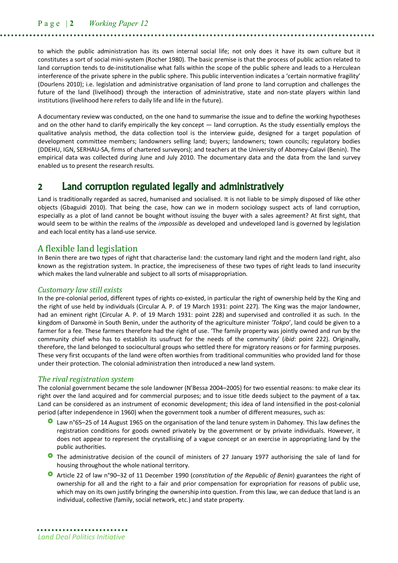to which the public administration has its own internal social life; not only does it have its own culture but it constitutes a sort of social mini-system (Rocher 1980). The basic premise is that the process of public action related to land corruption tends to de-institutionalise what falls within the scope of the public sphere and leads to a Herculean interference of the private sphere in the public sphere. This public intervention indicates a 'certain normative fragility' (Dourlens 2010); i.e. legislation and administrative organisation of land prone to land corruption and challenges the future of the land (livelihood) through the interaction of administrative, state and non-state players within land institutions (livelihood here refers to daily life and life in the future).

A documentary review was conducted, on the one hand to summarise the issue and to define the working hypotheses and on the other hand to clarify empirically the key concept — land corruption. As the study essentially employs the qualitative analysis method, the data collection tool is the interview guide, designed for a target population of development committee members; landowners selling land; buyers; landowners; town councils; regulatory bodies (DDEHU, IGN, SERHAU-SA, firms of chartered surveyors); and teachers at the University of Abomey-Calavi (Benin). The empirical data was collected during June and July 2010. The documentary data and the data from the land survey enabled us to present the research results.

### **2 Land corruption regulated legally and administratively**

Land is traditionally regarded as sacred, humanised and socialised. It is not liable to be simply disposed of like other objects (Gbaguidi 2010). That being the case, how can we in modern sociology suspect acts of land corruption, especially as a plot of land cannot be bought without issuing the buyer with a sales agreement? At first sight, that would seem to be within the realms of the *impossible* as developed and undeveloped land is governed by legislation and each local entity has a land-use service.

### A flexible land legislation

In Benin there are two types of right that characterise land: the customary land right and the modern land right, also known as the registration system. In practice, the impreciseness of these two types of right leads to land insecurity which makes the land vulnerable and subject to all sorts of misappropriation.

### *Customary law still exists*

In the pre-colonial period, different types of rights co-existed, in particular the right of ownership held by the King and the right of use held by individuals (Circular A. P. of 19 March 1931: point 227). The King was the major landowner, had an eminent right (Circular A. P. of 19 March 1931: point 228) and supervised and controlled it as such. In the kingdom of Danxomè in South Benin, under the authority of the agriculture minister *'Tokpo*', land could be given to a farmer for a fee. These farmers therefore had the right of use. 'The family property was jointly owned and run by the community chief who has to establish its usufruct for the needs of the community' (*ibid*: point 222). Originally, therefore, the land belonged to sociocultural groups who settled there for migratory reasons or for farming purposes. These very first occupants of the land were often worthies from traditional communities who provided land for those under their protection. The colonial administration then introduced a new land system.

### *The rival registration system*

The colonial government became the sole landowner (N'Bessa 2004–2005) for two essential reasons: to make clear its right over the land acquired and for commercial purposes; and to issue title deeds subject to the payment of a tax. Land can be considered as an instrument of economic development; this idea of land intensified in the post-colonial period (after independence in 1960) when the government took a number of different measures, such as:

- Law n°65–25 of 14 August 1965 on the organisation of the land tenure system in Dahomey. This law defines the registration conditions for goods owned privately by the government or by private individuals. However, it does not appear to represent the crystallising of a vague concept or an exercise in appropriating land by the public authorities.
- **O** The administrative decision of the council of ministers of 27 January 1977 authorising the sale of land for housing throughout the whole national territory.
- Article 22 of law n°90–32 of 11 December 1990 (*constitution of the Republic of Benin*) guarantees the right of ownership for all and the right to a fair and prior compensation for expropriation for reasons of public use, which may on its own justify bringing the ownership into question. From this law, we can deduce that land is an individual, collective (family, social network, etc.) and state property.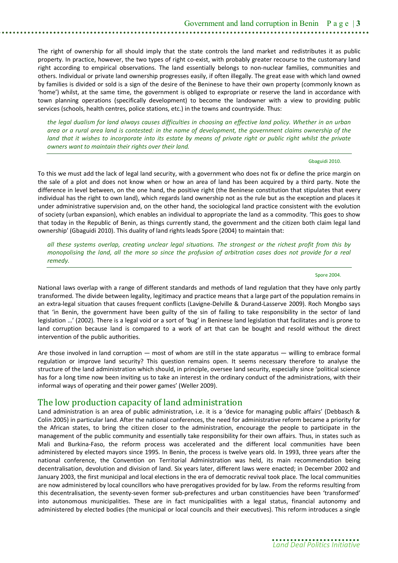The right of ownership for all should imply that the state controls the land market and redistributes it as public property. In practice, however, the two types of right co-exist, with probably greater recourse to the customary land right according to empirical observations. The land essentially belongs to non-nuclear families, communities and others. Individual or private land ownership progresses easily, if often illegally. The great ease with which land owned by families is divided or sold is a sign of the desire of the Beninese to have their own property (commonly known as 'home') whilst, at the same time, the government is obliged to expropriate or reserve the land in accordance with town planning operations (specifically development) to become the landowner with a view to providing public services (schools, health centres, police stations, etc.) in the towns and countryside. Thus:

*the legal dualism for land always causes difficulties in choosing an effective land policy. Whether in an urban area or a rural area land is contested: in the name of development, the government claims ownership of the land that it wishes to incorporate into its estate by means of private right or public right whilst the private owners want to maintain their rights over their land.*

Gbaguidi 2010.

To this we must add the lack of legal land security, with a government who does not fix or define the price margin on the sale of a plot and does not know when or how an area of land has been acquired by a third party. Note the difference in level between, on the one hand, the positive right (the Beninese constitution that stipulates that every individual has the right to own land), which regards land ownership not as the rule but as the exception and places it under administrative supervision and, on the other hand, the sociological land practice consistent with the evolution of society (urban expansion), which enables an individual to appropriate the land as a commodity. 'This goes to show that today in the Republic of Benin, as things currently stand, the government and the citizen both claim legal land ownership' (Gbaguidi 2010). This duality of land rights leads Spore (2004) to maintain that:

*all these systems overlap, creating unclear legal situations. The strongest or the richest profit from this by monopolising the land, all the more so since the profusion of arbitration cases does not provide for a real remedy.*

Spore 2004.

National laws overlap with a range of different standards and methods of land regulation that they have only partly transformed. The divide between legality, legitimacy and practice means that a large part of the population remains in an extra-legal situation that causes frequent conflicts (Lavigne-Delville & Durand-Lasserve 2009). Roch Mongbo says that 'in Benin, the government have been guilty of the sin of failing to take responsibility in the sector of land legislation …' (2002). There is a legal void or a sort of 'bug' in Beninese land legislation that facilitates and is prone to land corruption because land is compared to a work of art that can be bought and resold without the direct intervention of the public authorities.

Are those involved in land corruption — most of whom are still in the state apparatus — willing to embrace formal regulation or improve land security? This question remains open. It seems necessary therefore to analyse the structure of the land administration which should, in principle, oversee land security, especially since 'political science has for a long time now been inviting us to take an interest in the ordinary conduct of the administrations, with their informal ways of operating and their power games' (Weller 2009).

### The low production capacity of land administration

Land administration is an area of public administration, i.e. it is a 'device for managing public affairs' (Debbasch & Colin 2005) in particular land. After the national conferences, the need for administrative reform became a priority for the African states, to bring the citizen closer to the administration, encourage the people to participate in the management of the public community and essentially take responsibility for their own affairs. Thus, in states such as Mali and Burkina-Faso, the reform process was accelerated and the different local communities have been administered by elected mayors since 1995. In Benin, the process is twelve years old. In 1993, three years after the national conference, the Convention on Territorial Administration was held, its main recommendation being decentralisation, devolution and division of land. Six years later, different laws were enacted; in December 2002 and January 2003, the first municipal and local elections in the era of democratic revival took place. The local communities are now administered by local councillors who have prerogatives provided for by law. From the reforms resulting from this decentralisation, the seventy-seven former sub-prefectures and urban constituencies have been 'transformed' into autonomous municipalities. These are in fact municipalities with a legal status, financial autonomy and administered by elected bodies (the municipal or local councils and their executives). This reform introduces a single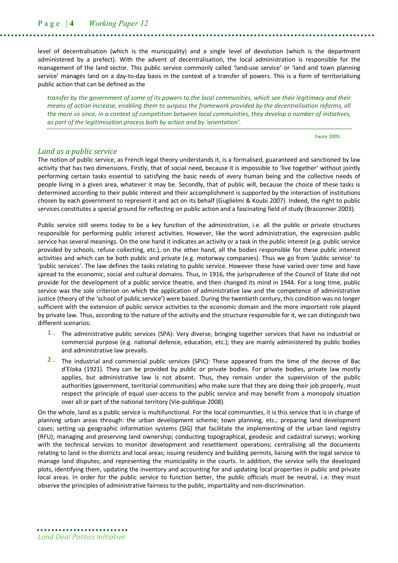level of decentralisation (which is the municipality) and a single level of devolution (which is the department administered by a prefect). With the advent of decentralisation, the local administration is responsible for the management of the land sector. This public service commonly called 'land-use service' or 'land and town planning service' manages land on a day-to-day basis in the context of a transfer of powers. This is a form of territorialising public action that can be defined as the

*transfer by the government of some of its powers to the local communities, which see their legitimacy and their means of action increase, enabling them to surpass the framework provided by the decentralisation reforms, all the more so since, in a context of competition between local communities, they develop a number of initiatives, as part of the legitimisation process both by action and by 'orientation'.*

Faure 2005.

#### *Land as a public service*

The notion of public service, as French legal theory understands it, is a formalised, guaranteed and sanctioned by law activity that has two dimensions. Firstly, that of social need, because it is impossible to 'live together' without jointly performing certain tasks essential to satisfying the basic needs of every human being and the collective needs of people living in a given area, whatever it may be. Secondly, that of public will, because the choice of these tasks is determined according to their public interest and their accomplishment is supported by the interaction of institutions chosen by each government to represent it and act on its behalf (Guglielmi & Koubi 2007). Indeed, the right to public services constitutes a special ground for reflecting on public action and a fascinating field of study (Braconnier 2003).

Public service still seems today to be a key function of the administration, i.e. all the public or private structures responsible for performing public interest activities. However, like the word administration, the expression public service has several meanings. On the one hand it indicates an activity or a task in the public interest (e.g. public service provided by schools, refuse collecting, etc.), on the other hand, all the bodies responsible for these public interest activities and which can be both public and private (e.g. motorway companies). Thus we go from 'public service' to 'public services'. The law defines the tasks relating to public service. However these have varied over time and have spread to the economic, social and cultural domains. Thus, in 1916, the jurisprudence of the Council of State did not provide for the development of a public service theatre, and then changed its mind in 1944. For a long time, public service was the sole criterion on which the application of administrative law and the competence of administrative justice (theory of the 'school of public service') were based. During the twentieth century, this condition was no longer sufficient with the extension of public service activities to the economic domain and the more important role played by private law. Thus, according to the nature of the activity and the structure responsible for it, we can distinguish two different scenarios:

- **1 .** The administrative public services (SPA): Very diverse, bringing together services that have no industrial or commercial purpose (e.g. national defence, education, etc.); they are mainly administered by public bodies and administrative law prevails.
- **2 .** The industrial and commercial public services (SPIC): These appeared from the time of the decree of Bac d'Eloka (1921). They can be provided by public or private bodies. For private bodies, private law mostly applies, but administrative law is not absent. Thus, they remain under the supervision of the public authorities (government, territorial communities) who make sure that they are doing their job properly, must respect the principle of equal user-access to the public service and may benefit from a monopoly situation over all or part of the national territory (Vie-publique 2008).

On the whole, land as a public service is multifunctional. For the local communities, it is this service that is in charge of planning urban areas through: the urban development scheme; town planning, etc.; preparing land development cases; setting up geographic information systems (SIG) that facilitate the implementing of the urban land registry (RFU); managing and preserving land ownership; conducting topographical, geodesic and cadastral surveys; working with the technical services to monitor development and resettlement operations; centralising all the documents relating to land in the districts and local areas; issuing residency and building permits, liaising with the legal service to manage land disputes; and representing the municipality in the courts. In addition, the service sells the developed plots, identifying them, updating the inventory and accounting for and updating local properties in public and private local areas. In order for the public service to function better, the public officials must be neutral, i.e. they must observe the principles of administrative fairness to the public, impartiality and non-discrimination.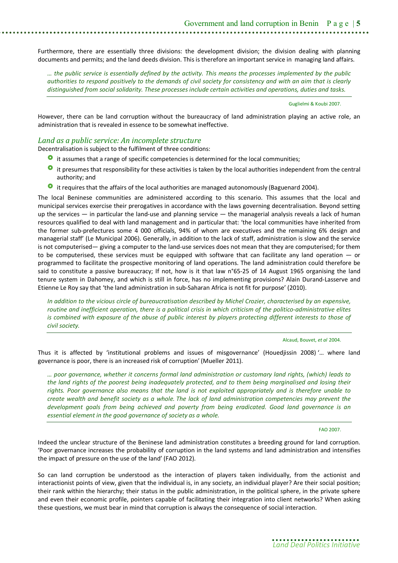Furthermore, there are essentially three divisions: the development division; the division dealing with planning documents and permits; and the land deeds division. This is therefore an important service in managing land affairs.

*… the public service is essentially defined by the activity. This means the processes implemented by the public authorities to respond positively to the demands of civil society for consistency and with an aim that is clearly distinguished from social solidarity. These processes include certain activities and operations, duties and tasks.*

Guglielmi & Koubi 2007.

However, there can be land corruption without the bureaucracy of land administration playing an active role, an administration that is revealed in essence to be somewhat ineffective.

#### *Land as a public service: An incomplete structure*

Decentralisation is subject to the fulfilment of three conditions:

- **O** it assumes that a range of specific competencies is determined for the local communities;
- $\bullet$  it presumes that responsibility for these activities is taken by the local authorities independent from the central authority; and
- **O** it requires that the affairs of the local authorities are managed autonomously (Baguenard 2004).

The local Beninese communities are administered according to this scenario. This assumes that the local and municipal services exercise their prerogatives in accordance with the laws governing decentralisation. Beyond setting up the services — in particular the land-use and planning service — the managerial analysis reveals a lack of human resources qualified to deal with land management and in particular that: 'the local communities have inherited from the former sub-prefectures some 4 000 officials, 94% of whom are executives and the remaining 6% design and managerial staff' (Le Municipal 2006). Generally, in addition to the lack of staff, administration is slow and the service is not computerised— giving a computer to the land-use services does not mean that they are computerised; for them to be computerised, these services must be equipped with software that can facilitate any land operation — or programmed to facilitate the prospective monitoring of land operations. The land administration could therefore be said to constitute a passive bureaucracy; If not, how is it that law n°65-25 of 14 August 1965 organising the land tenure system in Dahomey, and which is still in force, has no implementing provisions? Alain Durand-Lasserve and Etienne Le Roy say that 'the land administration in sub-Saharan Africa is not fit for purpose' (2010).

*In addition to the vicious circle of bureaucratisation described by Michel Crozier, characterised by an expensive, routine and inefficient operation, there is a political crisis in which criticism of the politico-administrative elites is combined with exposure of the abuse of public interest by players protecting different interests to those of civil society.*

Alcaud, Bouvet, *et al* 2004.

Thus it is affected by 'institutional problems and issues of misgovernance' (Houedjissin 2008) '… where land governance is poor, there is an increased risk of corruption' (Mueller 2011).

*… poor governance, whether it concerns formal land administration or customary land rights, (which) leads to the land rights of the poorest being inadequately protected, and to them being marginalised and losing their rights. Poor governance also means that the land is not exploited appropriately and is therefore unable to create wealth and benefit society as a whole. The lack of land administration competencies may prevent the development goals from being achieved and poverty from being eradicated. Good land governance is an essential element in the good governance of society as a whole.*

FAO 2007.

Indeed the unclear structure of the Beninese land administration constitutes a breeding ground for land corruption. 'Poor governance increases the probability of corruption in the land systems and land administration and intensifies the impact of pressure on the use of the land' (FAO 2012).

So can land corruption be understood as the interaction of players taken individually, from the actionist and interactionist points of view, given that the individual is, in any society, an individual player? Are their social position; their rank within the hierarchy; their status in the public administration, in the political sphere, in the private sphere and even their economic profile, pointers capable of facilitating their integration into client networks? When asking these questions, we must bear in mind that corruption is always the consequence of social interaction.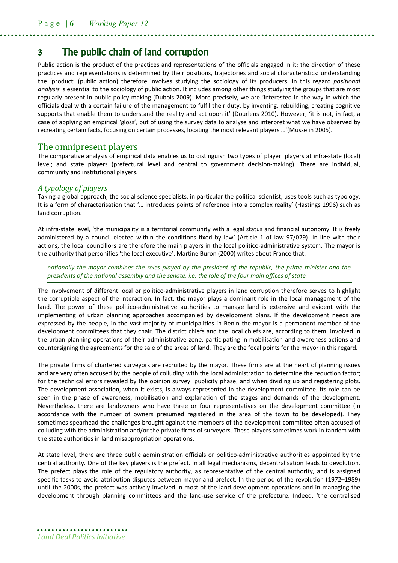# **3 The public chain of land corruption**

Public action is the product of the practices and representations of the officials engaged in it; the direction of these practices and representations is determined by their positions, trajectories and social characteristics: understanding the 'product' (public action) therefore involves studying the sociology of its producers. In this regard *positional analysis* is essential to the sociology of public action. It includes among other things studying the groups that are most regularly present in public policy making (Dubois 2009). More precisely, we are 'interested in the way in which the officials deal with a certain failure of the management to fulfil their duty, by inventing, rebuilding, creating cognitive supports that enable them to understand the reality and act upon it' (Dourlens 2010). However, 'it is not, in fact, a case of applying an empirical 'gloss', but of using the survey data to analyse and interpret what we have observed by recreating certain facts, focusing on certain processes, locating the most relevant players …'(Musselin 2005).

### The omnipresent players

The comparative analysis of empirical data enables us to distinguish two types of player: players at infra-state (local) level; and state players (prefectural level and central to government decision-making). There are individual, community and institutional players.

### *A typology of players*

Taking a global approach, the social science specialists, in particular the political scientist, uses tools such as typology. It is a form of characterisation that '… introduces points of reference into a complex reality' (Hastings 1996) such as land corruption.

At infra-state level, 'the municipality is a territorial community with a legal status and financial autonomy. It is freely administered by a council elected within the conditions fixed by law' (Article 1 of law 97/029). In line with their actions, the local councillors are therefore the main players in the local politico-administrative system. The mayor is the authority that personifies 'the local executive'. Martine Buron (2000) writes about France that:

*nationally the mayor combines the roles played by the president of the republic, the prime minister and the presidents of the national assembly and the senate, i.e. the role of the four main offices of state.*

The involvement of different local or politico-administrative players in land corruption therefore serves to highlight the corruptible aspect of the interaction. In fact, the mayor plays a dominant role in the local management of the land. The power of these politico-administrative authorities to manage land is extensive and evident with the implementing of urban planning approaches accompanied by development plans. If the development needs are expressed by the people, in the vast majority of municipalities in Benin the mayor is a permanent member of the development committees that they chair. The district chiefs and the local chiefs are, according to them, involved in the urban planning operations of their administrative zone, participating in mobilisation and awareness actions and countersigning the agreements for the sale of the areas of land. They are the focal points for the mayor in this regard.

The private firms of chartered surveyors are recruited by the mayor. These firms are at the heart of planning issues and are very often accused by the people of colluding with the local administration to determine the reduction factor; for the technical errors revealed by the opinion survey publicity phase; and when dividing up and registering plots. The development association, when it exists, is always represented in the development committee. Its role can be seen in the phase of awareness, mobilisation and explanation of the stages and demands of the development. Nevertheless, there are landowners who have three or four representatives on the development committee (in accordance with the number of owners presumed registered in the area of the town to be developed). They sometimes spearhead the challenges brought against the members of the development committee often accused of colluding with the administration and/or the private firms of surveyors. These players sometimes work in tandem with the state authorities in land misappropriation operations.

At state level, there are three public administration officials or politico-administrative authorities appointed by the central authority. One of the key players is the prefect. In all legal mechanisms, decentralisation leads to devolution. The prefect plays the role of the regulatory authority, as representative of the central authority, and is assigned specific tasks to avoid attribution disputes between mayor and prefect. In the period of the revolution (1972–1989) until the 2000s, the prefect was actively involved in most of the land development operations and in managing the development through planning committees and the land-use service of the prefecture. Indeed, 'the centralised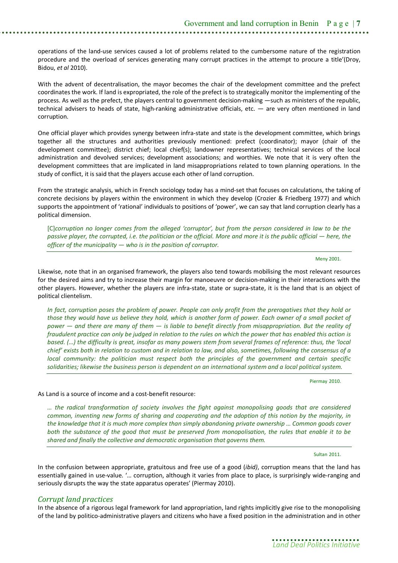operations of the land-use services caused a lot of problems related to the cumbersome nature of the registration procedure and the overload of services generating many corrupt practices in the attempt to procure a title'(Droy, Bidou, *et al* 2010).

With the advent of decentralisation, the mayor becomes the chair of the development committee and the prefect coordinates the work. If land is expropriated, the role of the prefect is to strategically monitor the implementing of the process. As well as the prefect, the players central to government decision-making —such as ministers of the republic, technical advisers to heads of state, high-ranking administrative officials, etc. — are very often mentioned in land corruption.

One official player which provides synergy between infra-state and state is the development committee, which brings together all the structures and authorities previously mentioned: prefect (coordinator); mayor (chair of the development committee); district chief; local chief(s); landowner representatives; technical services of the local administration and devolved services; development associations; and worthies. We note that it is very often the development committees that are implicated in land misappropriations related to town planning operations. In the study of conflict, it is said that the players accuse each other of land corruption.

From the strategic analysis, which in French sociology today has a mind-set that focuses on calculations, the taking of concrete decisions by players within the environment in which they develop (Crozier & Friedberg 1977) and which supports the appointment of 'rational' individuals to positions of 'power', we can say that land corruption clearly has a political dimension.

[C]*corruption no longer comes from the alleged 'corruptor', but from the person considered in law to be the passive player, the corrupted, i.e. the politician or the official. More and more it is the public official — here, the officer of the municipality — who is in the position of corruptor.*

Meny 2001.

Likewise, note that in an organised framework, the players also tend towards mobilising the most relevant resources for the desired aims and try to increase their margin for manoeuvre or decision-making in their interactions with the other players. However, whether the players are infra-state, state or supra-state, it is the land that is an object of political clientelism.

*In fact, corruption poses the problem of power. People can only profit from the prerogatives that they hold or those they would have us believe they hold, which is another form of power. Each owner of a small pocket of power — and there are many of them — is liable to benefit directly from misappropriation. But the reality of fraudulent practice can only be judged in relation to the rules on which the power that has enabled this action is based. (…) the difficulty is great, insofar as many powers stem from several frames of reference: thus, the 'local chief' exists both in relation to custom and in relation to law, and also, sometimes, following the consensus of a local community: the politician must respect both the principles of the government and certain specific solidarities; likewise the business person is dependent on an international system and a local political system.*

Piermay 2010.

As Land is a source of income and a cost-benefit resource:

*… the radical transformation of society involves the fight against monopolising goods that are considered common, inventing new forms of sharing and cooperating and the adoption of this notion by the majority, in the knowledge that it is much more complex than simply abandoning private ownership … Common goods cover both the substance of the good that must be preserved from monopolisation, the rules that enable it to be shared and finally the collective and democratic organisation that governs them.*

Sultan 2011.

In the confusion between appropriate, gratuitous and free use of a good (*ibid)*, corruption means that the land has essentially gained in use-value. '… corruption, although it varies from place to place, is surprisingly wide-ranging and seriously disrupts the way the state apparatus operates' (Piermay 2010).

#### *Corrupt land practices*

In the absence of a rigorous legal framework for land appropriation, land rights implicitly give rise to the monopolising of the land by politico-administrative players and citizens who have a fixed position in the administration and in other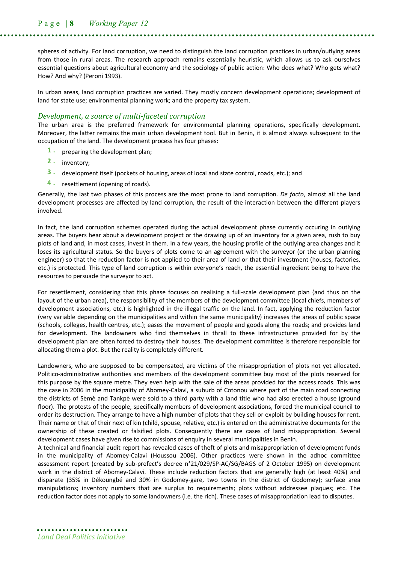spheres of activity. For land corruption, we need to distinguish the land corruption practices in urban/outlying areas from those in rural areas. The research approach remains essentially heuristic, which allows us to ask ourselves essential questions about agricultural economy and the sociology of public action: Who does what? Who gets what? How? And why? (Peroni 1993).

In urban areas, land corruption practices are varied. They mostly concern development operations; development of land for state use; environmental planning work; and the property tax system.

#### *Development, a source of multi-faceted corruption*

The urban area is the preferred framework for environmental planning operations, specifically development. Moreover, the latter remains the main urban development tool. But in Benin, it is almost always subsequent to the occupation of the land. The development process has four phases:

- **1 .** preparing the development plan;
- **2 .** inventory;
- **3 .** development itself (pockets of housing, areas of local and state control, roads, etc.); and
- **4 .** resettlement (opening of roads).

Generally, the last two phases of this process are the most prone to land corruption. *De facto*, almost all the land development processes are affected by land corruption, the result of the interaction between the different players involved.

In fact, the land corruption schemes operated during the actual development phase currently occuring in outlying areas. The buyers hear about a development project or the drawing up of an inventory for a given area, rush to buy plots of land and, in most cases, invest in them. In a few years, the housing profile of the outlying area changes and it loses its agricultural status. So the buyers of plots come to an agreement with the surveyor (or the urban planning engineer) so that the reduction factor is not applied to their area of land or that their investment (houses, factories, etc.) is protected. This type of land corruption is within everyone's reach, the essential ingredient being to have the resources to persuade the surveyor to act.

For resettlement, considering that this phase focuses on realising a full-scale development plan (and thus on the layout of the urban area), the responsibility of the members of the development committee (local chiefs, members of development associations, etc.) is highlighted in the illegal traffic on the land. In fact, applying the reduction factor (very variable depending on the municipalities and within the same municipality) increases the areas of public space (schools, colleges, health centres, etc.); eases the movement of people and goods along the roads; and provides land for development. The landowners who find themselves in thrall to these infrastructures provided for by the development plan are often forced to destroy their houses. The development committee is therefore responsible for allocating them a plot. But the reality is completely different.

Landowners, who are supposed to be compensated, are victims of the misappropriation of plots not yet allocated. Politico-administrative authorities and members of the development committee buy most of the plots reserved for this purpose by the square metre. They even help with the sale of the areas provided for the access roads. This was the case in 2006 in the municipality of Abomey-Calavi, a suburb of Cotonou where part of the main road connecting the districts of Sèmè and Tankpè were sold to a third party with a land title who had also erected a house (ground floor). The protests of the people, specifically members of development associations, forced the municipal council to order its destruction. They arrange to have a high number of plots that they sell or exploit by building houses for rent. Their name or that of their next of kin (child, spouse, relative, etc.) is entered on the administrative documents for the ownership of these created or falsified plots. Consequently there are cases of land misappropriation. Several development cases have given rise to commissions of enquiry in several municipalities in Benin.

A technical and financial audit report has revealed cases of theft of plots and misappropriation of development funds in the municipality of Abomey-Calavi (Houssou 2006). Other practices were shown in the adhoc committee assessment report (created by sub-prefect's decree n°21/029/SP-AC/SG/BAGS of 2 October 1995) on development work in the district of Abomey-Calavi. These include reduction factors that are generally high (at least 40%) and disparate (35% in Dékoungbé and 30% in Godomey-gare, two towns in the district of Godomey); surface area manipulations; inventory numbers that are surplus to requirements; plots without addressee plaques; etc. The reduction factor does not apply to some landowners (i.e. the rich). These cases of misappropriation lead to disputes.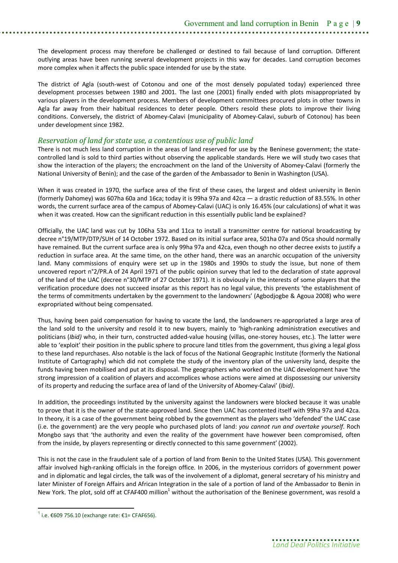The development process may therefore be challenged or destined to fail because of land corruption. Different outlying areas have been running several development projects in this way for decades. Land corruption becomes more complex when it affects the public space intended for use by the state.

The district of Agla (south-west of Cotonou and one of the most densely populated today) experienced three development processes between 1980 and 2001. The last one (2001) finally ended with plots misappropriated by various players in the development process. Members of development committees procured plots in other towns in Agla far away from their habitual residences to deter people. Others resold these plots to improve their living conditions. Conversely, the district of Abomey-Calavi (municipality of Abomey-Calavi, suburb of Cotonou) has been under development since 1982.

#### *Reservation of land for state use, a contentious use of public land*

There is not much less land corruption in the areas of land reserved for use by the Beninese government; the statecontrolled land is sold to third parties without observing the applicable standards. Here we will study two cases that show the interaction of the players; the encroachment on the land of the University of Abomey-Calavi (formerly the National University of Benin); and the case of the garden of the Ambassador to Benin in Washington (USA).

When it was created in 1970, the surface area of the first of these cases, the largest and oldest university in Benin (formerly Dahomey) was 607ha 60a and 16ca; today it is 99ha 97a and 42ca — a drastic reduction of 83.55%. In other words, the current surface area of the campus of Abomey-Calavi (UAC) is only 16.45% (our calculations) of what it was when it was created. How can the significant reduction in this essentially public land be explained?

Officially, the UAC land was cut by 106ha 53a and 11ca to install a transmitter centre for national broadcasting by decree n°19/MTP/DTP/SUH of 14 October 1972. Based on its initial surface area, 501ha 07a and 05ca should normally have remained. But the current surface area is only 99ha 97a and 42ca, even though no other decree exists to justify a reduction in surface area. At the same time, on the other hand, there was an anarchic occupation of the university land. Many commissions of enquiry were set up in the 1980s and 1990s to study the issue, but none of them uncovered report n°2/PR.A of 24 April 1971 of the public opinion survey that led to the declaration of state approval of the land of the UAC (decree n°30/MTP of 27 October 1971). It is obviously in the interests of some players that the verification procedure does not succeed insofar as this report has no legal value, this prevents 'the establishment of the terms of commitments undertaken by the government to the landowners' (Agbodjogbe & Agoua 2008) who were expropriated without being compensated.

Thus, having been paid compensation for having to vacate the land, the landowners re-appropriated a large area of the land sold to the university and resold it to new buyers, mainly to 'high-ranking administration executives and politicians (*Ibid)* who, in their turn, constructed added-value housing (villas, one-storey houses, etc.). The latter were able to 'exploit' their position in the public sphere to procure land titles from the government, thus giving a legal gloss to these land repurchases. Also notable is the lack of focus of the National Geographic Institute (formerly the National Institute of Cartography) which did not complete the study of the inventory plan of the university land, despite the funds having been mobilised and put at its disposal. The geographers who worked on the UAC development have 'the strong impression of a coalition of players and accomplices whose actions were aimed at dispossessing our university of its property and reducing the surface area of land of the University of Abomey-Calavi' (*Ibid)*.

In addition, the proceedings instituted by the university against the landowners were blocked because it was unable to prove that it is the owner of the state-approved land. Since then UAC has contented itself with 99ha 97a and 42ca. In theory, it is a case of the government being robbed by the government as the players who 'defended' the UAC case (i.e. the government) are the very people who purchased plots of land: *you cannot run and overtake yourself*. Roch Mongbo says that 'the authority and even the reality of the government have however been compromised, often from the inside, by players representing or directly connected to this same government' (2002).

This is not the case in the fraudulent sale of a portion of land from Benin to the United States (USA). This government affair involved high-ranking officials in the foreign office. In 2006, in the mysterious corridors of government power and in diplomatic and legal circles, the talk was of the involvement of a diplomat, general secretary of his ministry and later Minister of Foreign Affairs and African Integration in the sale of a portion of land of the Ambassador to Benin in New York. The plot, sold off at CFAF400 million<sup>1</sup> without the authorisation of the Beninese government, was resold a

 $\overline{a}$ 

<sup>&</sup>lt;sup>1</sup> i.e. €609 756.10 (exchange rate: €1= CFAF656).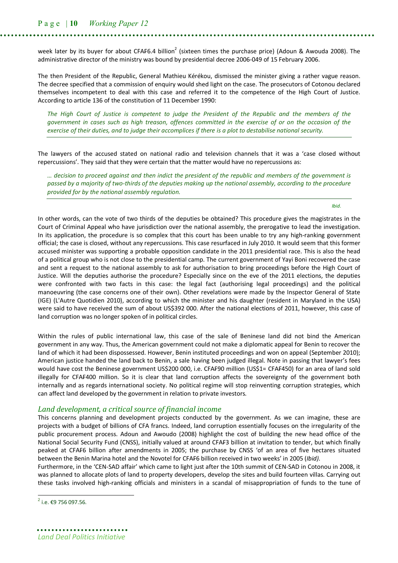week later by its buyer for about CFAF6.4 billion<sup>2</sup> (sixteen times the purchase price) (Adoun & Awouda 2008). The administrative director of the ministry was bound by presidential decree 2006-049 of 15 February 2006.

The then President of the Republic, General Mathieu Kérékou, dismissed the minister giving a rather vague reason. The decree specified that a commission of enquiry would shed light on the case. The prosecutors of Cotonou declared themselves incompetent to deal with this case and referred it to the competence of the High Court of Justice. According to article 136 of the constitution of 11 December 1990:

*The High Court of Justice is competent to judge the President of the Republic and the members of the government in cases such as high treason, offences committed in the exercise of or on the occasion of the exercise of their duties, and to judge their accomplices if there is a plot to destabilise national security.*

The lawyers of the accused stated on national radio and television channels that it was a 'case closed without repercussions'. They said that they were certain that the matter would have no repercussions as:

*… decision to proceed against and then indict the president of the republic and members of the government is passed by a majority of two-thirds of the deputies making up the national assembly, according to the procedure provided for by the national assembly regulation.*

*Ibid*.

In other words, can the vote of two thirds of the deputies be obtained? This procedure gives the magistrates in the Court of Criminal Appeal who have jurisdiction over the national assembly, the prerogative to lead the investigation. In its application, the procedure is so complex that this court has been unable to try any high-ranking government official; the case is closed, without any repercussions. This case resurfaced in July 2010. It would seem that this former accused minister was supporting a probable opposition candidate in the 2011 presidential race. This is also the head of a political group who is not close to the presidential camp. The current government of Yayi Boni recovered the case and sent a request to the national assembly to ask for authorisation to bring proceedings before the High Court of Justice. Will the deputies authorise the procedure? Especially since on the eve of the 2011 elections, the deputies were confronted with two facts in this case: the legal fact (authorising legal proceedings) and the political manoeuvring (the case concerns one of their own). Other revelations were made by the Inspector General of State (IGE) (L'Autre Quotidien 2010), according to which the minister and his daughter (resident in Maryland in the USA) were said to have received the sum of about US\$392 000. After the national elections of 2011, however, this case of land corruption was no longer spoken of in political circles.

Within the rules of public international law, this case of the sale of Beninese land did not bind the American government in any way. Thus, the American government could not make a diplomatic appeal for Benin to recover the land of which it had been dispossessed. However, Benin instituted proceedings and won on appeal (September 2010); American justice handed the land back to Benin, a sale having been judged illegal. Note in passing that lawyer's fees would have cost the Beninese government US\$200 000, i.e. CFAF90 million (US\$1= CFAF450) for an area of land sold illegally for CFA₣400 million. So it is clear that land corruption affects the sovereignty of the government both internally and as regards international society. No political regime will stop reinventing corruption strategies, which can affect land developed by the government in relation to private investors.

### *Land development, a critical source of financial income*

This concerns planning and development projects conducted by the government. As we can imagine, these are projects with a budget of billions of CFA francs. Indeed, land corruption essentially focuses on the irregularity of the public procurement process. Adoun and Awoudo (2008) highlight the cost of building the new head office of the National Social Security Fund (CNSS), initially valued at around CFAF3 billion at invitation to tender, but which finally peaked at CFA₣6 billion after amendments in 2005; the purchase by CNSS 'of an area of five hectares situated between the Benin Marina hotel and the Novotel for CFA₣6 billion received in two weeks' in 2005 (*Ibid)*.

Furthermore, in the 'CEN-SAD affair' which came to light just after the 10th summit of CEN-SAD in Cotonou in 2008, it was planned to allocate plots of land to property developers, develop the sites and build fourteen villas. Carrying out these tasks involved high-ranking officials and ministers in a scandal of misappropriation of funds to the tune of

 $^2$  i.e. €9 756 097.56.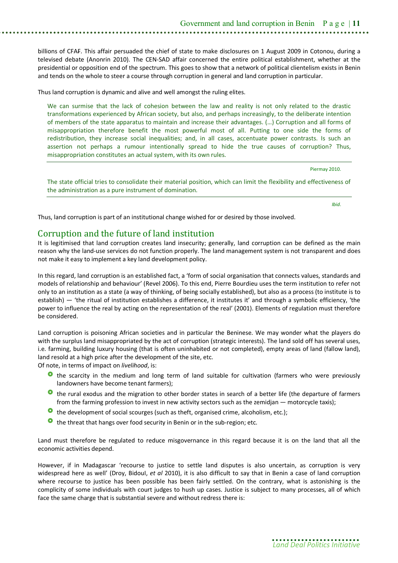billions of CFAF. This affair persuaded the chief of state to make disclosures on 1 August 2009 in Cotonou, during a televised debate (Anonrin 2010). The CEN-SAD affair concerned the entire political establishment, whether at the presidential or opposition end of the spectrum. This goes to show that a network of political clientelism exists in Benin and tends on the whole to steer a course through corruption in general and land corruption in particular.

Thus land corruption is dynamic and alive and well amongst the ruling elites.

We can surmise that the lack of cohesion between the law and reality is not only related to the drastic transformations experienced by African society, but also, and perhaps increasingly, to the deliberate intention of members of the state apparatus to maintain and increase their advantages. (…) Corruption and all forms of misappropriation therefore benefit the most powerful most of all. Putting to one side the forms of redistribution, they increase social inequalities; and, in all cases, accentuate power contrasts. Is such an assertion not perhaps a rumour intentionally spread to hide the true causes of corruption? Thus, misappropriation constitutes an actual system, with its own rules.

Piermay 2010.

The state official tries to consolidate their material position, which can limit the flexibility and effectiveness of the administration as a pure instrument of domination.

*Ibid*.

Thus, land corruption is part of an institutional change wished for or desired by those involved.

### Corruption and the future of land institution

It is legitimised that land corruption creates land insecurity; generally, land corruption can be defined as the main reason why the land-use services do not function properly. The land management system is not transparent and does not make it easy to implement a key land development policy.

In this regard, land corruption is an established fact, a 'form of social organisation that connects values, standards and models of relationship and behaviour' (Revel 2006). To this end, Pierre Bourdieu uses the term institution to refer not only to an institution as a state (a way of thinking, of being socially established), but also as a process (to institute is to establish) — 'the ritual of institution establishes a difference, it institutes it' and through a symbolic efficiency, 'the power to influence the real by acting on the representation of the real' (2001). Elements of regulation must therefore be considered.

Land corruption is poisoning African societies and in particular the Beninese. We may wonder what the players do with the surplus land misappropriated by the act of corruption (strategic interests). The land sold off has several uses, i.e. farming, building luxury housing (that is often uninhabited or not completed), empty areas of land (fallow land), land resold at a high price after the development of the site, etc.

Of note, in terms of impact on *livelihood*, is:

- the scarcity in the medium and long term of land suitable for cultivation (farmers who were previously landowners have become tenant farmers);
- **O** the rural exodus and the migration to other border states in search of a better life (the departure of farmers from the farming profession to invest in new activity sectors such as the zemidjan — motorcycle taxis);
- **O** the development of social scourges (such as theft, organised crime, alcoholism, etc.);
- **O** the threat that hangs over food security in Benin or in the sub-region; etc.

Land must therefore be regulated to reduce misgovernance in this regard because it is on the land that all the economic activities depend.

However, if in Madagascar 'recourse to justice to settle land disputes is also uncertain, as corruption is very widespread here as well' (Droy, BidouI, *et al* 2010), it is also difficult to say that in Benin a case of land corruption where recourse to justice has been possible has been fairly settled. On the contrary, what is astonishing is the complicity of some individuals with court judges to hush up cases. Justice is subject to many processes, all of which face the same charge that is substantial severe and without redress there is: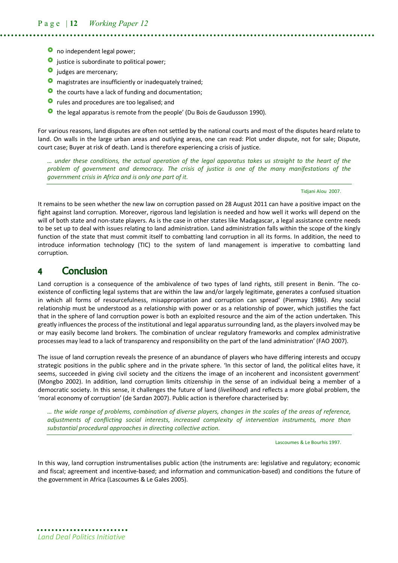- no independent legal power;
- **O** justice is subordinate to political power;
- $\bullet$  judges are mercenary;
- **O** magistrates are insufficiently or inadequately trained;
- $\bullet$  the courts have a lack of funding and documentation:
- **O** rules and procedures are too legalised; and
- the legal apparatus is remote from the people' (Du Bois de Gaudusson 1990).

For various reasons, land disputes are often not settled by the national courts and most of the disputes heard relate to land. On walls in the large urban areas and outlying areas, one can read: Plot under dispute, not for sale; Dispute, court case; Buyer at risk of death. Land is therefore experiencing a crisis of justice.

*… under these conditions, the actual operation of the legal apparatus takes us straight to the heart of the problem of government and democracy. The crisis of justice is one of the many manifestations of the government crisis in Africa and is only one part of it.*

Tidjani Alou 2007.

It remains to be seen whether the new law on corruption passed on 28 August 2011 can have a positive impact on the fight against land corruption. Moreover, rigorous land legislation is needed and how well it works will depend on the will of both state and non-state players. As is the case in other states like Madagascar, a legal assistance centre needs to be set up to deal with issues relating to land administration. Land administration falls within the scope of the kingly function of the state that must commit itself to combatting land corruption in all its forms. In addition, the need to introduce information technology (TIC) to the system of land management is imperative to combatting land corruption.

### **4 Conclusion**

Land corruption is a consequence of the ambivalence of two types of land rights, still present in Benin. 'The coexistence of conflicting legal systems that are within the law and/or largely legitimate, generates a confused situation in which all forms of resourcefulness, misappropriation and corruption can spread' (Piermay 1986). Any social relationship must be understood as a relationship with power or as a relationship of power, which justifies the fact that in the sphere of land corruption power is both an exploited resource and the aim of the action undertaken. This greatly influences the process of the institutional and legal apparatus surrounding land, as the players involved may be or may easily become land brokers. The combination of unclear regulatory frameworks and complex administrative processes may lead to a lack of transparency and responsibility on the part of the land administration' (FAO 2007).

The issue of land corruption reveals the presence of an abundance of players who have differing interests and occupy strategic positions in the public sphere and in the private sphere. 'In this sector of land, the political elites have, it seems, succeeded in giving civil society and the citizens the image of an incoherent and inconsistent government' (Mongbo 2002). In addition, land corruption limits citizenship in the sense of an individual being a member of a democratic society. In this sense, it challenges the future of land (*livelihood*) and reflects a more global problem, the 'moral economy of corruption' (de Sardan 2007). Public action is therefore characterised by:

*… the wide range of problems, combination of diverse players, changes in the scales of the areas of reference, adjustments of conflicting social interests, increased complexity of intervention instruments, more than substantial procedural approaches in directing collective action*.

Lascoumes & Le Bourhis 1997.

In this way, land corruption instrumentalises public action (the instruments are: legislative and regulatory; economic and fiscal; agreement and incentive-based; and information and communication-based) and conditions the future of the government in Africa (Lascoumes & Le Gales 2005).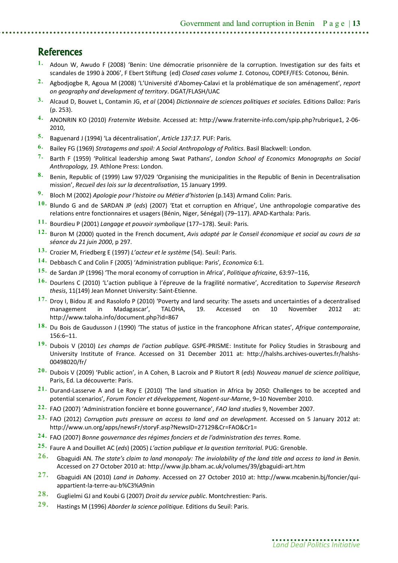# **References**

- **1.** Adoun W, Awudo F (2008) 'Benin: Une démocratie prisonnière de la corruption. Investigation sur des faits et scandales de 1990 à 2006', F Ebert Stiftung (ed) *Closed cases volume 1*. Cotonou, COPEF/FES: Cotonou, Bénin.
- **2.** Agbodjogbe R, Agoua M (2008) 'L'Université d'Abomey-Calavi et la problématique de son aménagement', *report on geography and development of territory*. DGAT/FLASH/UAC
- **3.** Alcaud D, Bouvet L, Contamin JG, *et al* (2004) *Dictionnaire de sciences politiques et sociales.* Editions Dalloz: Paris (p. 253).
- **4.** ANONRIN KO (2010) *Fraternite Website.* Accessed at: http://www.fraternite-info.com/spip.php?rubrique1, 2-06- 2010,
- **5.** Baguenard J (1994) 'La décentralisation', *Article 137:17.* PUF: Paris.
- **6.** Bailey FG (1969) *Stratagems and spoil: A Social Anthropology of Politics*. Basil Blackwell: London.
- **7.** Barth F (1959) 'Political leadership among Swat Pathans', *London School of Economics Monographs on Social Anthropology, 19*. Athlone Press: London.
- **8.** Benin, Republic of (1999) Law 97/029 'Organising the municipalities in the Republic of Benin in Decentralisation mission', *Recueil des lois sur la decentralisation*, 15 January 1999.
- **9.** Bloch M (2002) *Apologie pour l'histoire ou Métier d'historien* (p.143) Armand Colin: Paris.
- **10.** Blundo G and de SARDAN JP (*eds*) (2007) 'Etat et corruption en Afrique', Une anthropologie comparative des relations entre fonctionnaires et usagers (Bénin, Niger, Sénégal) (79–117). APAD-Karthala: Paris.
- **11.** Bourdieu P (2001) *Langage et pouvoir symbolique* (177–178). Seuil: Paris.
- **12.** Buron M (2000) quoted in the French document, *Avis adopté par le Conseil économique et social au cours de sa séance du 21 juin 2000*, p 297.
- **13.** Crozier M, Friedberg E (1997) *L'acteur et le système* (54). Seuil: Paris.
- **14.** Debbasch C and Colin F (2005) 'Administration publique: Paris'*, Economica* 6:1.
- **15.** de Sardan JP (1996) 'The moral economy of corruption in Africa', *Politique africaine*, 63:97–116,
- **16.** Dourlens C (2010) 'L'action publique à l'épreuve de la fragilité normative', Accreditation to *Supervise Research thesis*, 11(149) Jean Monnet University: Saint-Etienne.
- **17.** Droy I, Bidou JE and Rasolofo P (2010) 'Poverty and land security: The assets and uncertainties of a decentralised management in Madagascar', TALOHA, 19. Accessed on 10 November 2012 at: http://www.taloha.info/document.php?id=867
- **18.** Du Bois de Gaudusson J (1990) 'The status of justice in the francophone African states', *Afrique contemporaine*, 156:6–11.
- **19.** Dubois V (2010) *Les champs de l'action publique*. GSPE-PRISME: Institute for Policy Studies in Strasbourg and University Institute of France. Accessed on 31 December 2011 at: http://halshs.archives-ouvertes.fr/halshs-00498020/fr/
- **20.** Dubois V (2009) 'Public action', in A Cohen, B Lacroix and P Riutort R (*eds*) *Nouveau manuel de science politique*, Paris, Ed. La découverte: Paris.
- **21.** Durand-Lasserve A and Le Roy E (2010) 'The land situation in Africa by 2050: Challenges to be accepted and potential scenarios', *Forum Foncier et développement, Nogent-sur-Marne*, 9–10 November 2010.
- **22.** FAO (2007) 'Administration foncière et bonne gouvernance', *FAO land studies* 9, November 2007.
- **23.** FAO (2012) *Corruption puts pressure on access to land and on development*. Accessed on 5 January 2012 at: http://www.un.org/apps/newsFr/storyF.asp?NewsID=27129&Cr=FAO&Cr1=
- **24.** FAO (2007) *Bonne gouvernance des régimes fonciers et de l'administration des terres*. Rome.
- **25.** Faure A and Douillet AC (*eds*) (2005) *L'action publique et la question territorial*. PUG: Grenoble.
- **26.** Gbaguidi AN. *The state's claim to land monopoly: The inviolability of the land title and access to land in Benin*. Accessed on 27 October 2010 at: http://www.jlp.bham.ac.uk/volumes/39/gbaguidi-art.htm
- **27.** Gbaguidi AN (2010) *Land in Dahomy*. Accessed on 27 October 2010 at: http://www.mcabenin.bj/foncier/quiappartient-la-terre-au-b%C3%A9nin
- **28.** Guglielmi GJ and Koubi G (2007) *Droit du service public*. Montchrestien: Paris.
- **29.** Hastings M (1996) *Aborder la science politique*. Editions du Seuil: Paris.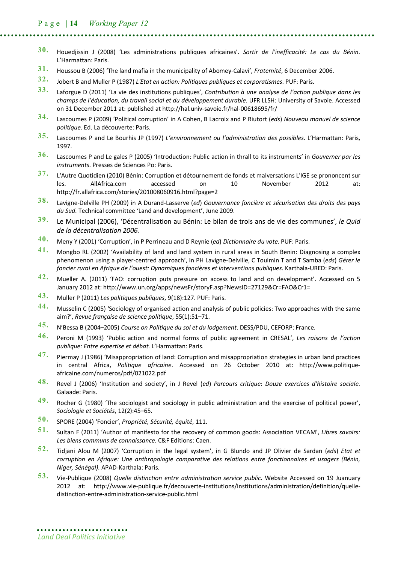**30.** Houedjissin J (2008) 'Les administrations publiques africaines'. *Sortir de l'inefficacité: Le cas du Bénin*. L'Harmattan: Paris.

. . . . . . . . . .

- **31.** Houssou B (2006) 'The land mafia in the municipality of Abomey-Calavi', *Fraternité*, 6 December 2006.
- **32.** Jobert B and Muller P (1987) *L'Etat en action: Politiques publiques et corporatismes*. PUF: Paris.
- **33.** Laforgue D (2011) 'La vie des institutions publiques', *Contribution à une analyse de l'action publique dans les champs de l'éducation, du travail social et du développement durable*. UFR LLSH: University of Savoie. Accessed on 31 December 2011 at: published at http://hal.univ-savoie.fr/hal-00618695/fr/
- **34.** Lascoumes P (2009) 'Political corruption' in A Cohen, B Lacroix and P Riutort (*eds*) *Nouveau manuel de science politique*. Ed. La découverte: Paris.
- **35.** Lascoumes P and Le Bourhis JP (1997) *L'environnement ou l'administration des possibles*. L'Harmattan: Paris, 1997.
- **36.** Lascoumes P and Le gales P (2005) 'Introduction: Public action in thrall to its instruments' in *Gouverner par les instruments*. Presses de Sciences Po: Paris.
- **37.** L'Autre Quotidien (2010) Bénin: Corruption et détournement de fonds et malversations L'IGE se prononcent sur les. AllAfrica.com accessed on 10 November 2012 at: http://fr.allafrica.com/stories/201008060916.html?page=2
- **38.** Lavigne-Delville PH (2009) in A Durand-Lasserve (*ed*) *Gouvernance foncière et sécurisation des droits des pays du Sud*. Technical committee 'Land and development', June 2009.
- **39.** Le Municipal (2006), 'Décentralisation au Bénin: Le bilan de trois ans de vie des communes', *le Quid de la décentralisation 2006.*
- **40.** Meny Y (2001) 'Corruption', in P Perrineau and D Reynie (*ed*) *Dictionnaire du vote*. PUF: Paris.
- **41.** Mongbo RL (2002) 'Availability of land and land system in rural areas in South Benin: Diagnosing a complex phenomenon using a player-centred approach', in PH Lavigne-Delville, C Toulmin T and T Samba (*eds*) *Gérer le foncier rural en Afrique de l'ouest: Dynamiques foncières et interventions publiques*. Karthala-URED: Paris.
- **42.** Mueller A. (2011) 'FAO: corruption puts pressure on access to land and on development'. Accessed on 5 January 2012 at: http://www.un.org/apps/newsFr/storyF.asp?NewsID=27129&Cr=FAO&Cr1=
- **43.** Muller P (2011) *Les politiques publiques*, 9(18):127. PUF: Paris.
- **44.** Musselin C (2005) 'Sociology of organised action and analysis of public policies: Two approaches with the same aim?', *Revue française de science politique*, 55(1):51–71.
- **45.** N'Bessa B (2004–2005) *Course on Politique du sol et du lodgement*. DESS/PDU, CEFORP: France.
- **46.** Peroni M (1993) 'Public action and normal forms of public agreement in CRESAL', *Les raisons de l'action publique: Entre expertise et débat*. L'Harmattan: Paris.
- **47.** Piermay J (1986) 'Misappropriation of land: Corruption and misappropriation strategies in urban land practices in central Africa, *Politique africaine*. Accessed on 26 October 2010 at: http://www.politiqueafricaine.com/numeros/pdf/021022.pdf
- **48.** Revel J (2006) 'Institution and society', in J Revel (*ed*) *Parcours critique*: *Douze exercices d'histoire sociale*. Galaade: Paris.
- **49.** Rocher G (1980) 'The sociologist and sociology in public administration and the exercise of political power', *Sociologie et Sociétés*, 12(2):45–65.
- **50.** SPORE (2004) 'Foncier', *Propriété, Sécurité, équité*, 111.
- **51.** Sultan F (2011) 'Author of manifesto for the recovery of common goods: Association VECAM', *Libres savoirs: Les biens communs de connaissance*. C&F Editions: Caen.
- **52.** Tidjani Alou M (2007) 'Corruption in the legal system', in G Blundo and JP Olivier de Sardan (*eds*) *Etat et corruption en Afrique: Une anthropologie comparative des relations entre fonctionnaires et usagers (Bénin, Niger, Sénégal)*. APAD-Karthala: Paris.
- **53.** Vie-Publique (2008) *Quelle distinction entre administration service public*. Website Accessed on 19 Juanuary 2012 at: http://www.vie-publique.fr/decouverte-institutions/institutions/administration/definition/quelledistinction-entre-administration-service-public.html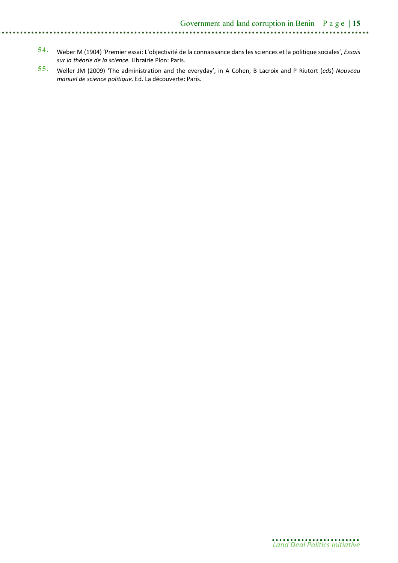- **54.** Weber M (1904) 'Premier essai: L'objectivité de la connaissance dans les sciences et la politique sociales', *Essais sur la théorie de la science.* Librairie Plon: Paris.
- **55.** Weller JM (2009) 'The administration and the everyday', in A Cohen, B Lacroix and P Riutort (*eds*) *Nouveau manuel de science politique*. Ed. La découverte: Paris.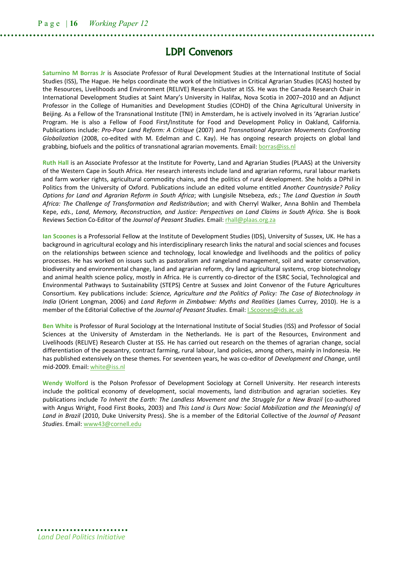# **LDPI Convenors**

**Saturnino M Borras Jr** is Associate Professor of Rural Development Studies at the International Institute of Social Studies (ISS), The Hague. He helps coordinate the work of the Initiatives in Critical Agrarian Studies (ICAS) hosted by the Resources, Livelihoods and Environment (RELIVE) Research Cluster at ISS. He was the Canada Research Chair in International Development Studies at Saint Mary's University in Halifax, Nova Scotia in 2007–2010 and an Adjunct Professor in the College of Humanities and Development Studies (COHD) of the China Agricultural University in Beijing. As a Fellow of the Transnational Institute (TNI) in Amsterdam, he is actively involved in its 'Agrarian Justice' Program. He is also a Fellow of Food First/Institute for Food and Development Policy in Oakland, California. Publications include: *Pro-Poor Land Reform: A Critique* (2007) and *Transnational Agrarian Movements Confronting Globalization* (2008, co-edited with M. Edelman and C. Kay). He has ongoing research projects on global land grabbing, biofuels and the politics of transnational agrarian movements. Email: **borras@iss.nl** 

**Ruth Hall** is an Associate Professor at the Institute for Poverty, Land and Agrarian Studies (PLAAS) at the University of the Western Cape in South Africa. Her research interests include land and agrarian reforms, rural labour markets and farm worker rights, agricultural commodity chains, and the politics of rural development. She holds a DPhil in Politics from the University of Oxford. Publications include an edited volume entitled *Another Countryside? Policy Options for Land and Agrarian Reform in South Africa*; with Lungisile Ntsebeza, *eds*.; T*he Land Question in South Africa: The Challenge of Transformation and Redistribution*; and with Cherryl Walker, Anna Bohlin and Thembela Kepe, *eds*., *Land, Memory, Reconstruction, and Justice: Perspectives on Land Claims in South Africa*. She is Book Reviews Section Co-Editor of the *Journal of Peasant Studies*. Email: rhall@plaas.org.za

**Ian Scoones** is a Professorial Fellow at the Institute of Development Studies (IDS), University of Sussex, UK. He has a background in agricultural ecology and his interdisciplinary research links the natural and social sciences and focuses on the relationships between science and technology, local knowledge and livelihoods and the politics of policy processes. He has worked on issues such as pastoralism and rangeland management, soil and water conservation, biodiversity and environmental change, land and agrarian reform, dry land agricultural systems, crop biotechnology and animal health science policy, mostly in Africa. He is currently co-director of the ESRC Social, Technological and Environmental Pathways to Sustainability (STEPS) Centre at Sussex and Joint Convenor of the Future Agricultures Consortium. Key publications include: *Science, Agriculture and the Politics of Policy: The Case of Biotechnology in India* (Orient Longman, 2006) and *Land Reform in Zimbabwe: Myths and Realities* (James Currey, 2010). He is a member of the Editorial Collective of the *Journal of Peasant Studies*. Email: I.Scoones@ids.ac.uk

**Ben White** is Professor of Rural Sociology at the International Institute of Social Studies (ISS) and Professor of Social Sciences at the University of Amsterdam in the Netherlands. He is part of the Resources, Environment and Livelihoods (RELIVE) Research Cluster at ISS. He has carried out research on the themes of agrarian change, social differentiation of the peasantry, contract farming, rural labour, land policies, among others, mainly in Indonesia. He has published extensively on these themes. For seventeen years, he was co-editor of *Development and Change*, until mid-2009. Email: white@iss.nl

**Wendy Wolford** is the Polson Professor of Development Sociology at Cornell University. Her research interests include the political economy of development, social movements, land distribution and agrarian societies. Key publications include *To Inherit the Earth: The Landless Movement and the Struggle for a New Brazil* (co-authored with Angus Wright, Food First Books, 2003) and *This Land is Ours Now: Social Mobilization and the Meaning(s) of Land in Brazil* (2010, Duke University Press). She is a member of the Editorial Collective of the *Journal of Peasant Studies*. Email: www43@cornell.edu